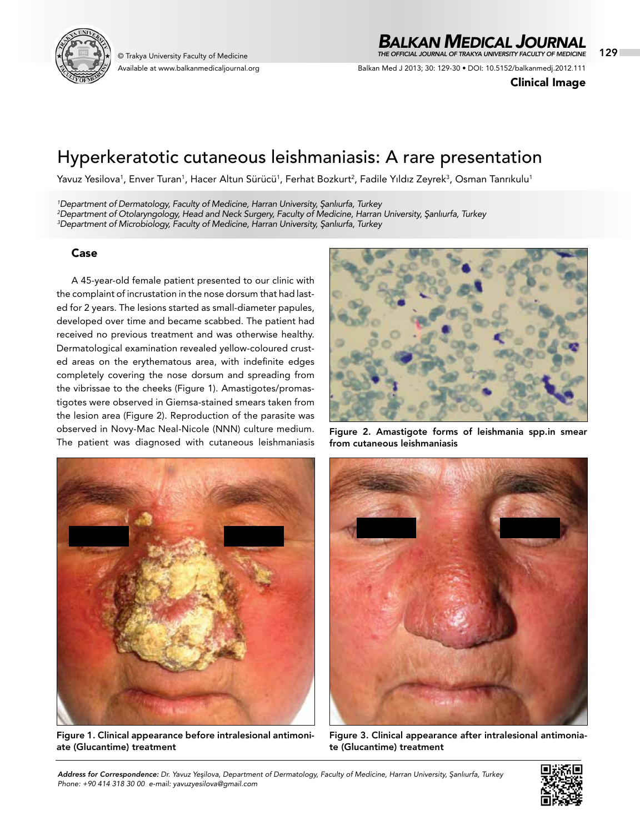

Available at www.balkanmedicaljournal.org

## *BALKAN MEDICAL JOURNAL*

© Trakya University Faculty of Medicine 129 *THE OFFICIAL JOURNAL OF TRAKYA UNIVERSITY FACULTY OF MEDICINE*

Balkan Med J 2013; 30: 129-30 • DOI: 10.5152/balkanmedj.2012.111

Clinical Image

# Hyperkeratotic cutaneous leishmaniasis: A rare presentation

Yavuz Yesilova<sup>1</sup>, Enver Turan<sup>1</sup>, Hacer Altun Sürücü<sup>1</sup>, Ferhat Bozkurt<sup>2</sup>, Fadile Yıldız Zeyrek<sup>3</sup>, Osman Tanrıkulu<sup>1</sup>

*1 Department of Dermatology, Faculty of Medicine, Harran University, Şanlıurfa, Turkey 2 Department of Otolaryngology, Head and Neck Surgery, Faculty of Medicine, Harran University, Şanlıurfa, Turkey 3 Department of Microbiology, Faculty of Medicine, Harran University, Şanlıurfa, Turkey*

#### Case

A 45-year-old female patient presented to our clinic with the complaint of incrustation in the nose dorsum that had lasted for 2 years. The lesions started as small-diameter papules, developed over time and became scabbed. The patient had received no previous treatment and was otherwise healthy. Dermatological examination revealed yellow-coloured crusted areas on the erythematous area, with indefinite edges completely covering the nose dorsum and spreading from the vibrissae to the cheeks (Figure 1). Amastigotes/promastigotes were observed in Giemsa-stained smears taken from the lesion area (Figure 2). Reproduction of the parasite was observed in Novy-Mac Neal-Nicole (NNN) culture medium. The patient was diagnosed with cutaneous leishmaniasis



Figure 2. Amastigote forms of leishmania spp.in smear from cutaneous leishmaniasis



Figure 1. Clinical appearance before intralesional antimoniate (Glucantime) treatment



Figure 3. Clinical appearance after intralesional antimoniate (Glucantime) treatment

*Address for Correspondence: Dr. Yavuz Yeşilova, Department of Dermatology, Faculty of Medicine, Harran University, Şanlıurfa, Turkey Phone: +90 414 318 30 00 e-mail: yavuzyesilova@gmail.com*